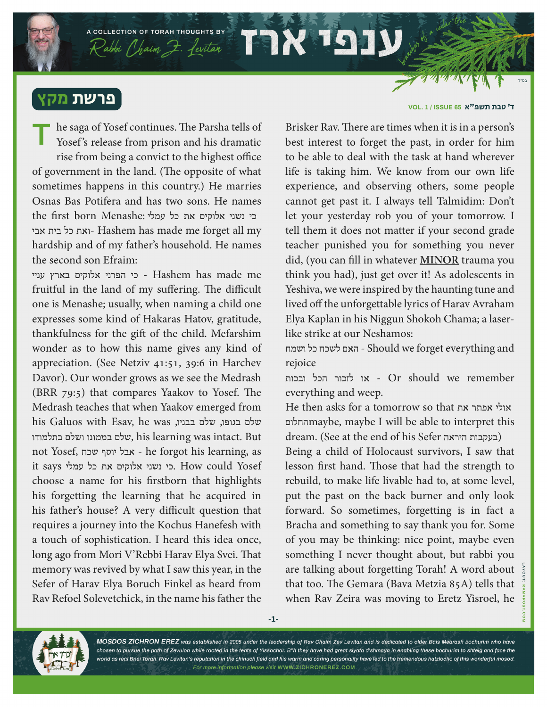## פרשת מקץ

he saga of Yosef continues. The Parsha tells of Yosef's release from prison and his dramatic rise from being a convict to the highest office of government in the land. (The opposite of what sometimes happens in this country.) He marries Osnas Bas Potifera and has two sons. He names כי נשני אלוקים את כל עמלי :the first born Menashe אבי בית כל ואת- Hashem has made me forget all my hardship and of my father's household. He names the second son Efraim: **T**

A COLLECTION OF TORAH THOUGHTS BY

 $\mathcal{R}$ abbi (haim  $\mathcal{F}$ . fevitar  $\mathcal{F}$ 

יניי Hashem has made me - כי הפרני אלוקים בארץ עניי fruitful in the land of my suffering. The difficult one is Menashe; usually, when naming a child one expresses some kind of Hakaras Hatov, gratitude, thankfulness for the gift of the child. Mefarshim wonder as to how this name gives any kind of appreciation. (See Netziv 41:51, 39:6 in Harchev Davor). Our wonder grows as we see the Medrash (BRR 79:5) that compares Yaakov to Yosef. The Medrash teaches that when Yaakov emerged from his Galuos with Esav, he was ,שלם בגופו, שלם בבניו בתלמודו ושלם בממונו שלם, his learning was intact. But not Yosef, שכח יוסף אבל - he forgot his learning, as it says כי נשני אלוקים את כל עמלי . How could Yosef choose a name for his firstborn that highlights his forgetting the learning that he acquired in his father's house? A very difficult question that requires a journey into the Kochus Hanefesh with a touch of sophistication. I heard this idea once, long ago from Mori V'Rebbi Harav Elya Svei. That memory was revived by what I saw this year, in the Sefer of Harav Elya Boruch Finkel as heard from Rav Refoel Solevetchick, in the name his father the

## ד׳ טבת תשפ"א **65 ISSUE / 1 .VOL**

Brisker Rav. There are times when it is in a person's best interest to forget the past, in order for him to be able to deal with the task at hand wherever life is taking him. We know from our own life experience, and observing others, some people cannot get past it. I always tell Talmidim: Don't let your yesterday rob you of your tomorrow. I tell them it does not matter if your second grade teacher punished you for something you never did, (you can fill in whatever **MINOR** trauma you think you had), just get over it! As adolescents in Yeshiva, we were inspired by the haunting tune and lived off the unforgettable lyrics of Harav Avraham Elya Kaplan in his Niggun Shokoh Chama; a laserlike strike at our Neshamos:

ושמח כל לשכח האם - Should we forget everything and rejoice

 remember we should Or - או לזכור הכל ובכות everything and weep.

He then asks for a tomorrow so that אולי אפתר את החלוםmaybe, maybe I will be able to interpret this dream. (See at the end of his Sefer היראה בעקבות(

Being a child of Holocaust survivors, I saw that lesson first hand. Those that had the strength to rebuild, to make life livable had to, at some level, put the past on the back burner and only look forward. So sometimes, forgetting is in fact a Bracha and something to say thank you for. Some of you may be thinking: nice point, maybe even something I never thought about, but rabbi you are talking about forgetting Torah! A word about that too. The Gemara (Bava Metzia 85A) tells that when Rav Zeira was moving to Eretz Yisroel, he



MOSDOS ZICHRON EREZ was established in 2005 under the leadership of Rav Chaim Zev Levitan and is dedicated to older Bais Medrash bochurim who have chosen to pursue the path of Zevulon while rooted in the tents of Yissochor. B"h they have had great siyata d'shmaya in enabling these bochurim to shteig and face the world as real Bnei Torah. Rav Levitan's reputation in the chinuch field and his warm and caring personality have led to the tremendous hatzlocho of this wonderful mosod. For more information please visit WWW.ZICHRONEREZ.COM